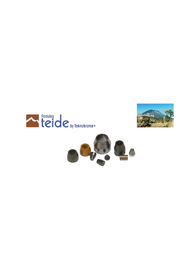



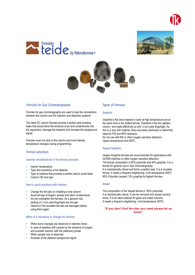







# **Ferrules for Gas Chromatography**

Ferrules for gas chromatography are used to seal the connections between the column and the injection and detection systems.

The ideal GC column ferrules provide a perfect seal avoiding leaks that would allow the entrance of air and contaminants into the equipment, damage the baseline and increase the background signal.

Ferrules must not stick to the column and must tolerate temperature changes during programming.

# **Ferrule selection**

#### General considerations in the ferrule selection:

- Injector temperature
- Type and sensitivity of the detector
- Type of material that provides a perfect seal to avoid leaks
- Column OD and type

#### How to avoid problems with ferrules

- Change the ferrules on installing a new column
- Avoid all type of fingers' grease and other contaminants
- Do not overtighten the ferrules. As a general rule, sealing at  $\frac{1}{4}$  turn past fingertight are enough.
- Observe if the reusable ferrules are damaged before using them again.

#### When is it necessary to change the ferrules

- When some changes are observed in retention times
- In case of baseline drift caused by the entrance of oxygen and possible reaction with the stationary phase
- When sample loss is observed
- Increase of the detector background signal

# **Types of Ferrules**

#### Graphite

Graphite is the best material to work at high temperature and at the same time is the softest ferrule. Therefore it fits the capillary column and seals effectively at only  $\frac{1}{4}$  turn past fingertight. As this is a very soft material, thery are easily destroyed or deformed. Ideal for FID and NPD detectors.

Do not use with MS or other oxygen sensitive detectors. Upper temperature limit 450ºC.

## Vespel/Graphite

Vespel /Graphite ferrules are recommended for applications with GC/MS interface or other oxygen sensitive detectors. The ferrule composition is 60% polymide and 40% graphite. It is a ferrule for general use in Gas Chromatography. It is mechanically robust and forms a perfect seal. It is a reusable ferrule. It needs a frequent retightening. Limit temperature 400ºC 85% Polymide (vespel) 15% graphite for Agilent ferrules.

#### Vespel

The composition of the Vespel ferrule is 100% polyimide. It is mechanically robust. It can be removed and reused several times. It is an ideal material for glass and metal columns. It needs a frequent retightening. Limit temperature 350ºC.

## "If you don't find ferrules you need please let us know"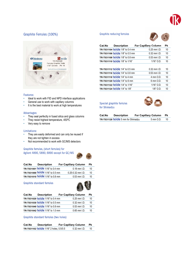

# Graphite Ferrules (100%)



## Features:

- Ideal to work with FID and NPD interface applications
- General use to work with capillary columns
- It is the best material to work at high temperatures

#### Advantages:

- They seal perfectly in fused silica and glass columns
- They resist highest temperature, 450ºC
- Very easy to remove

#### Limitations:

- They are easily deformed and can only be reused if they are not tighten in excess
- Not recommended to work with GC/MS detectors

# Graphite ferrules, (short ferrules) for

Agilent 4890, 5890, 6890 except for GC/MS



| Cat.No | <b>Description</b>               | <b>For Capillary Column</b> | Рk |
|--------|----------------------------------|-----------------------------|----|
|        | TR-T031001 teide 1/16" to 0.4 mm | $0.18$ mm $1.D.$            | 10 |
|        | TR-T031000 teide 1/16" to 0.5 mm | $0.25 - 0.32$ mm $1.D.$     | 10 |
|        | TR-T031010 teide 1/16" to 0.8 mm | $0.53$ mm $1.D.$            | 10 |

#### **Graphite standard ferrules**



| Cat.No | <b>Description</b>               | <b>For Capillary Column</b> | Рk |
|--------|----------------------------------|-----------------------------|----|
|        | TR-T031020 teide 1/16" to 0.4 mm | $0.25$ mm $1.D.$            | 10 |
|        | TR-T031030 teide 1/16" to 0.5 mm | $0.32$ mm $1.D.$            | 10 |
|        | TR-T031040 teide 1/16" to 0.8 mm | $0.53$ mm $1.D.$            | 10 |
|        | TR-T031042 teide 1/16" to 1.0 mm | $0.65$ mm $1.D.$            | 10 |

Graphite standard ferrules (two holes)

| Cat.No | <b>Description</b>                      | <b>For Capillary Column</b> |                  | Pk |
|--------|-----------------------------------------|-----------------------------|------------------|----|
|        | TR-T031102 teide 1/16" 2 holes, 0.5/0.5 |                             | $0.32$ mm $1.D.$ | 10 |

# **Graphite reducing ferrules**



| <b>TR-T031104 teide</b> 1/8" to 0.4 mm<br>$0.25$ mm $1.D.$<br>TR-T031106 teide 1/8" to 0.5 mm<br>$0.32$ mm $1.D.$<br>TR-T031108 teide 1/8" to 0.8 mm<br>$0.53$ mm $1.D.$<br>TR-T031110 teide 1/8" to 1/16"<br>$1/16"$ O.D. | 10<br>10<br>10<br>10 |
|----------------------------------------------------------------------------------------------------------------------------------------------------------------------------------------------------------------------------|----------------------|
|                                                                                                                                                                                                                            |                      |
|                                                                                                                                                                                                                            |                      |
|                                                                                                                                                                                                                            |                      |
|                                                                                                                                                                                                                            |                      |
|                                                                                                                                                                                                                            |                      |
| TR-T031112 teide 1/4" to 0.5 mm<br>$0.32$ mm $1$ D                                                                                                                                                                         | 10                   |
| TR-T031116 teide 1/4" to 0.8 mm<br>$0.53$ mm $1.D.$                                                                                                                                                                        | 10                   |
| <b>TR-T031118 teide 1/4" to 4 mm</b><br>4 mm O.D.                                                                                                                                                                          | 10                   |
| <b>TR-T031120 teide 1/4" to 6 mm</b><br>6 mm O.D.                                                                                                                                                                          | 10                   |
| <b>TR-T031122 teide 1/4" to 1/16"</b><br>$1/16"$ O.D.                                                                                                                                                                      | 10                   |
| TR-T031124 teide 1/4" to 1/8"<br>$1/8"$ O.D.                                                                                                                                                                               | 10                   |

Special graphite ferrules for Shimadzu



| Cat.No | <b>Description</b>                        | <b>For Capillary Column</b> |           | Pk |
|--------|-------------------------------------------|-----------------------------|-----------|----|
|        | <b>TR-T031128 teide</b> 5 mm for Shimadzu |                             | 5 mm O.D. | 10 |